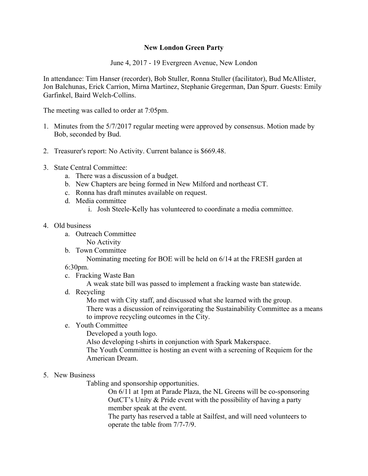## **New London Green Party**

June 4, 2017 - 19 Evergreen Avenue, New London

In attendance: Tim Hanser (recorder), Bob Stuller, Ronna Stuller (facilitator), Bud McAllister, Jon Balchunas, Erick Carrion, Mirna Martinez, Stephanie Gregerman, Dan Spurr. Guests: Emily Garfinkel, Baird Welch-Collins.

The meeting was called to order at 7:05pm.

- 1. Minutes from the 5/7/2017 regular meeting were approved by consensus. Motion made by Bob, seconded by Bud.
- 2. Treasurer's report: No Activity. Current balance is \$669.48.
- 3. State Central Committee:
	- a. There was a discussion of a budget.
	- b. New Chapters are being formed in New Milford and northeast CT.
	- c. Ronna has draft minutes available on request.
	- d. Media committee
		- i. Josh Steele-Kelly has volunteered to coordinate a media committee.
- 4. Old business
	- a. Outreach Committee
		- No Activity
	- b. Town Committee

Nominating meeting for BOE will be held on 6/14 at the FRESH garden at

- 6:30pm.
- c. Fracking Waste Ban
	- A weak state bill was passed to implement a fracking waste ban statewide.
- d. Recycling

Mo met with City staff, and discussed what she learned with the group. There was a discussion of reinvigorating the Sustainability Committee as a means to improve recycling outcomes in the City.

- e. Youth Committee
	- Developed a youth logo.

Also developing t-shirts in conjunction with Spark Makerspace.

The Youth Committee is hosting an event with a screening of Requiem for the American Dream.

## 5. New Business

Tabling and sponsorship opportunities.

On 6/11 at 1pm at Parade Plaza, the NL Greens will be co-sponsoring OutCT's Unity & Pride event with the possibility of having a party member speak at the event.

The party has reserved a table at Sailfest, and will need volunteers to operate the table from 7/7-7/9.